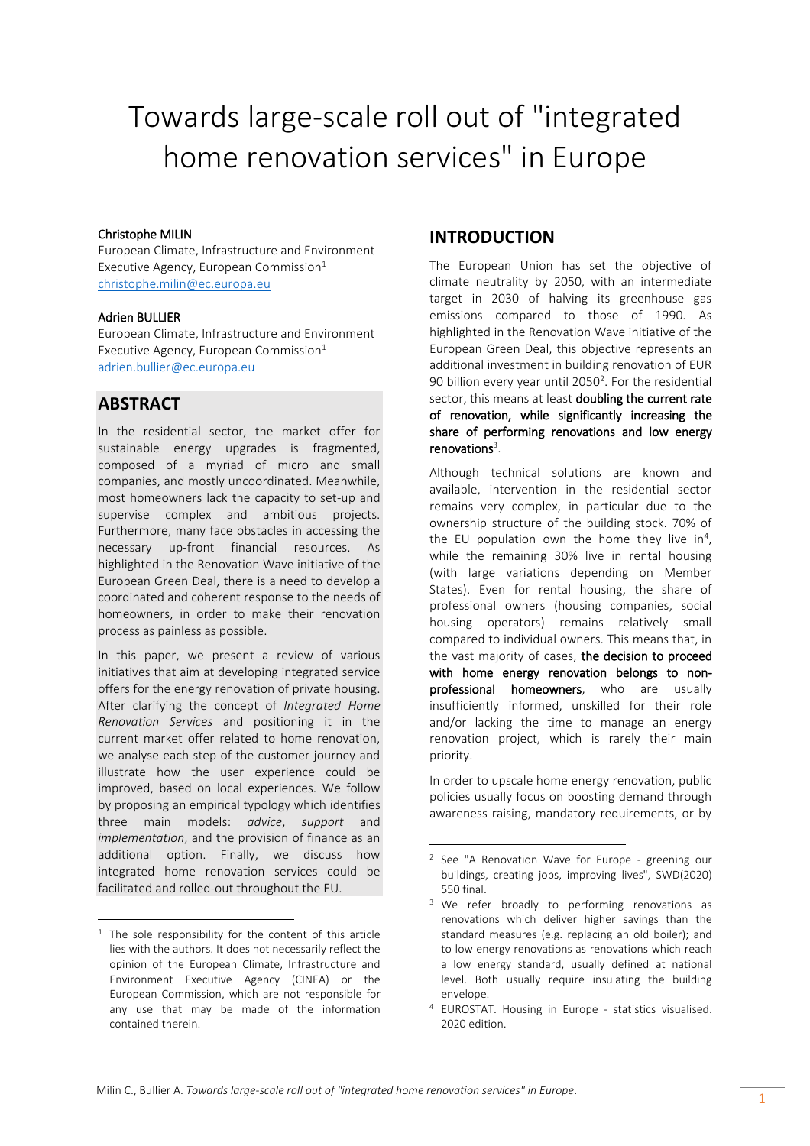# Towards large-scale roll out of "integrated home renovation services" in Europe

#### Christophe MILIN

European Climate, Infrastructure and Environment Executive Agency, European Commission $<sup>1</sup>$ </sup> [christophe.milin@ec.europa.eu](mailto:christophe.milin@ec.europa.eu)

#### Adrien BULLIER

European Climate, Infrastructure and Environment Executive Agency, European Commission $1$ [adrien.bullier@ec.europa.eu](mailto:adrien.bullier@ec.europa.eu)

# **ABSTRACT**

 $\overline{\phantom{a}}$ 

In the residential sector, the market offer for sustainable energy upgrades is fragmented, composed of a myriad of micro and small companies, and mostly uncoordinated. Meanwhile, most homeowners lack the capacity to set-up and supervise complex and ambitious projects. Furthermore, many face obstacles in accessing the necessary up-front financial resources. As highlighted in the Renovation Wave initiative of the European Green Deal, there is a need to develop a coordinated and coherent response to the needs of homeowners, in order to make their renovation process as painless as possible.

In this paper, we present a review of various initiatives that aim at developing integrated service offers for the energy renovation of private housing. After clarifying the concept of *Integrated Home Renovation Services* and positioning it in the current market offer related to home renovation, we analyse each step of the customer journey and illustrate how the user experience could be improved, based on local experiences. We follow by proposing an empirical typology which identifies three main models: *advice*, *support* and *implementation*, and the provision of finance as an additional option. Finally, we discuss how integrated home renovation services could be facilitated and rolled-out throughout the EU.

# **INTRODUCTION**

The European Union has set the objective of climate neutrality by 2050, with an intermediate target in 2030 of halving its greenhouse gas emissions compared to those of 1990. As highlighted in the Renovation Wave initiative of the European Green Deal, this objective represents an additional investment in building renovation of EUR 90 billion every year until 2050<sup>2</sup>. For the residential sector, this means at least doubling the current rate of renovation, while significantly increasing the share of performing renovations and low energy renovations<sup>3</sup>.

Although technical solutions are known and available, intervention in the residential sector remains very complex, in particular due to the ownership structure of the building stock. 70% of the EU population own the home they live in<sup>4</sup>, while the remaining 30% live in rental housing (with large variations depending on Member States). Even for rental housing, the share of professional owners (housing companies, social housing operators) remains relatively small compared to individual owners. This means that, in the vast majority of cases, the decision to proceed with home energy renovation belongs to nonprofessional homeowners, who are usually insufficiently informed, unskilled for their role and/or lacking the time to manage an energy renovation project, which is rarely their main priority.

In order to upscale home energy renovation, public policies usually focus on boosting demand through awareness raising, mandatory requirements, or by

1

<sup>&</sup>lt;sup>1</sup> The sole responsibility for the content of this article lies with the authors. It does not necessarily reflect the opinion of the European Climate, Infrastructure and Environment Executive Agency (CINEA) or the European Commission, which are not responsible for any use that may be made of the information contained therein.

<sup>2</sup> See "A Renovation Wave for Europe - greening our buildings, creating jobs, improving lives", SWD(2020) 550 final.

<sup>&</sup>lt;sup>3</sup> We refer broadly to performing renovations as renovations which deliver higher savings than the standard measures (e.g. replacing an old boiler); and to low energy renovations as renovations which reach a low energy standard, usually defined at national level. Both usually require insulating the building envelope.

<sup>4</sup> EUROSTAT. Housing in Europe - statistics visualised. 2020 edition.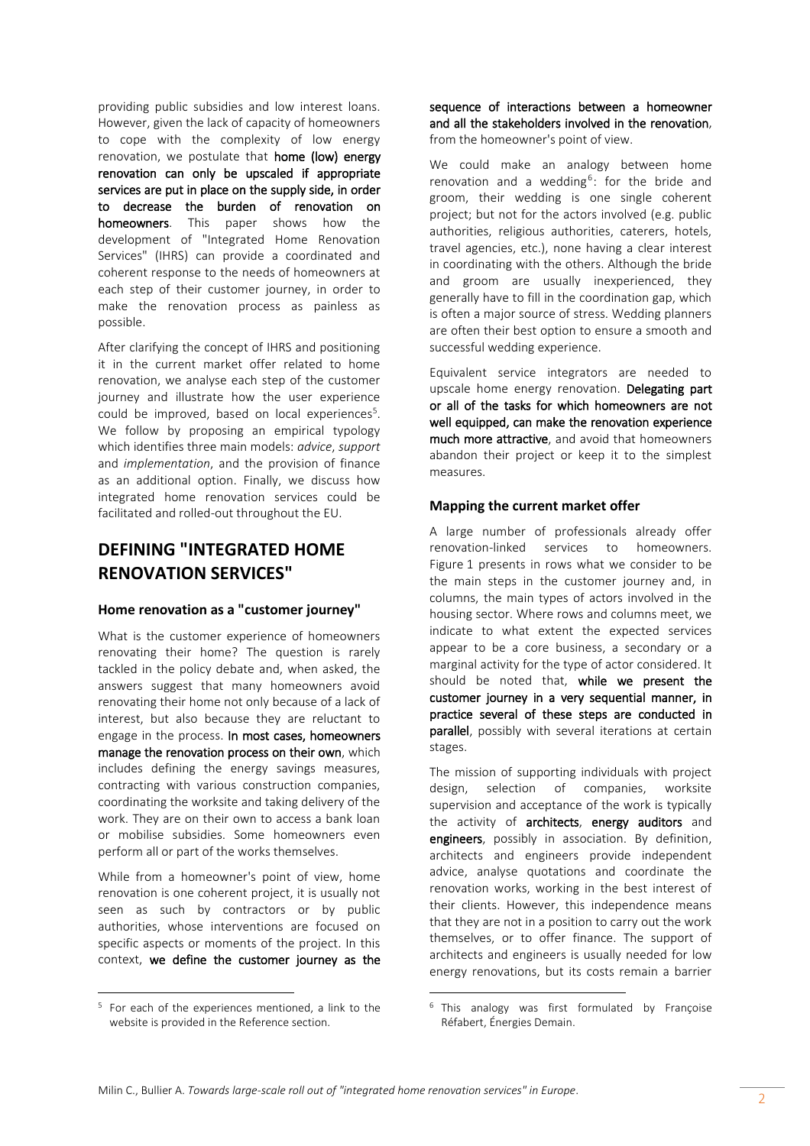providing public subsidies and low interest loans. However, given the lack of capacity of homeowners to cope with the complexity of low energy renovation, we postulate that home (low) energy renovation can only be upscaled if appropriate services are put in place on the supply side, in order to decrease the burden of renovation on homeowners. This paper shows how the development of "Integrated Home Renovation Services" (IHRS) can provide a coordinated and coherent response to the needs of homeowners at each step of their customer journey, in order to make the renovation process as painless as possible.

After clarifying the concept of IHRS and positioning it in the current market offer related to home renovation, we analyse each step of the customer journey and illustrate how the user experience could be improved, based on local experiences<sup>5</sup>. We follow by proposing an empirical typology which identifies three main models: *advice*, *support* and *implementation*, and the provision of finance as an additional option. Finally, we discuss how integrated home renovation services could be facilitated and rolled-out throughout the EU.

# **DEFINING "INTEGRATED HOME RENOVATION SERVICES"**

#### **Home renovation as a "customer journey"**

What is the customer experience of homeowners renovating their home? The question is rarely tackled in the policy debate and, when asked, the answers suggest that many homeowners avoid renovating their home not only because of a lack of interest, but also because they are reluctant to engage in the process. In most cases, homeowners manage the renovation process on their own, which includes defining the energy savings measures, contracting with various construction companies, coordinating the worksite and taking delivery of the work. They are on their own to access a bank loan or mobilise subsidies. Some homeowners even perform all or part of the works themselves.

While from a homeowner's point of view, home renovation is one coherent project, it is usually not seen as such by contractors or by public authorities, whose interventions are focused on specific aspects or moments of the project. In this context, we define the customer journey as the

 $\overline{a}$ 

sequence of interactions between a homeowner and all the stakeholders involved in the renovation, from the homeowner's point of view.

We could make an analogy between home renovation and a wedding<sup>6</sup>: for the bride and groom, their wedding is one single coherent project; but not for the actors involved (e.g. public authorities, religious authorities, caterers, hotels, travel agencies, etc.), none having a clear interest in coordinating with the others. Although the bride and groom are usually inexperienced, they generally have to fill in the coordination gap, which is often a major source of stress. Wedding planners are often their best option to ensure a smooth and successful wedding experience.

Equivalent service integrators are needed to upscale home energy renovation. Delegating part or all of the tasks for which homeowners are not well equipped, can make the renovation experience much more attractive, and avoid that homeowners abandon their project or keep it to the simplest measures.

#### **Mapping the current market offer**

A large number of professionals already offer renovation-linked services to homeowners. Figure 1 presents in rows what we consider to be the main steps in the customer journey and, in columns, the main types of actors involved in the housing sector. Where rows and columns meet, we indicate to what extent the expected services appear to be a core business, a secondary or a marginal activity for the type of actor considered. It should be noted that, while we present the customer journey in a very sequential manner, in practice several of these steps are conducted in parallel, possibly with several iterations at certain stages.

The mission of supporting individuals with project design, selection of companies, worksite supervision and acceptance of the work is typically the activity of architects, energy auditors and engineers, possibly in association. By definition, architects and engineers provide independent advice, analyse quotations and coordinate the renovation works, working in the best interest of their clients. However, this independence means that they are not in a position to carry out the work themselves, or to offer finance. The support of architects and engineers is usually needed for low energy renovations, but its costs remain a barrier

1

<sup>5</sup> For each of the experiences mentioned, a link to the website is provided in the Reference section.

<sup>&</sup>lt;sup>6</sup> This analogy was first formulated by Françoise Réfabert, Énergies Demain.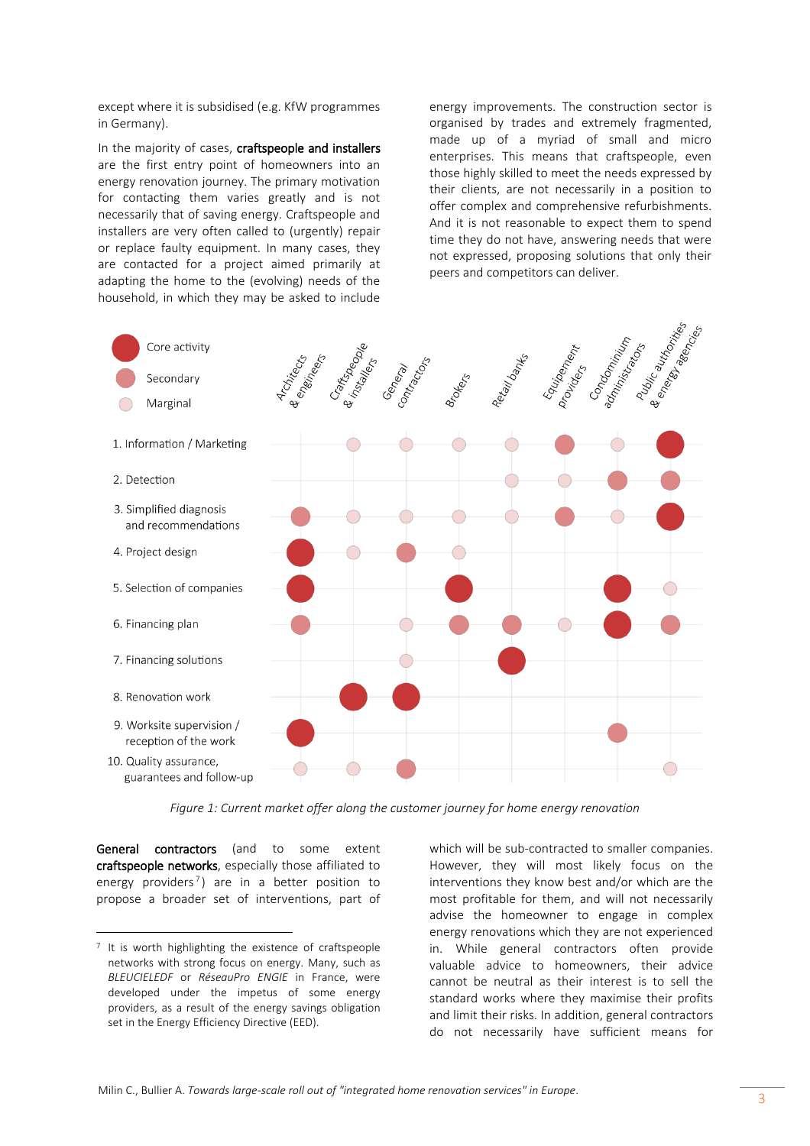except where it is subsidised (e.g. KfW programmes in Germany).

In the majority of cases, craftspeople and installers are the first entry point of homeowners into an energy renovation journey. The primary motivation for contacting them varies greatly and is not necessarily that of saving energy. Craftspeople and installers are very often called to (urgently) repair or replace faulty equipment. In many cases, they are contacted for a project aimed primarily at adapting the home to the (evolving) needs of the household, in which they may be asked to include

energy improvements. The construction sector is organised by trades and extremely fragmented, made up of a myriad of small and micro enterprises. This means that craftspeople, even those highly skilled to meet the needs expressed by their clients, are not necessarily in a position to offer complex and comprehensive refurbishments. And it is not reasonable to expect them to spend time they do not have, answering needs that were not expressed, proposing solutions that only their peers and competitors can deliver.



*Figure 1: Current market offer along the customer journey for home energy renovation*

General contractors (and to some extent craftspeople networks, especially those affiliated to energy providers<sup>7</sup>) are in a better position to propose a broader set of interventions, part of

 $\overline{a}$ 

which will be sub-contracted to smaller companies. However, they will most likely focus on the interventions they know best and/or which are the most profitable for them, and will not necessarily advise the homeowner to engage in complex energy renovations which they are not experienced in. While general contractors often provide valuable advice to homeowners, their advice cannot be neutral as their interest is to sell the standard works where they maximise their profits and limit their risks. In addition, general contractors do not necessarily have sufficient means for

<sup>7</sup> It is worth highlighting the existence of craftspeople networks with strong focus on energy. Many, such as *BLEUCIELEDF* or *RéseauPro ENGIE* in France, were developed under the impetus of some energy providers, as a result of the energy savings obligation set in the Energy Efficiency Directive (EED).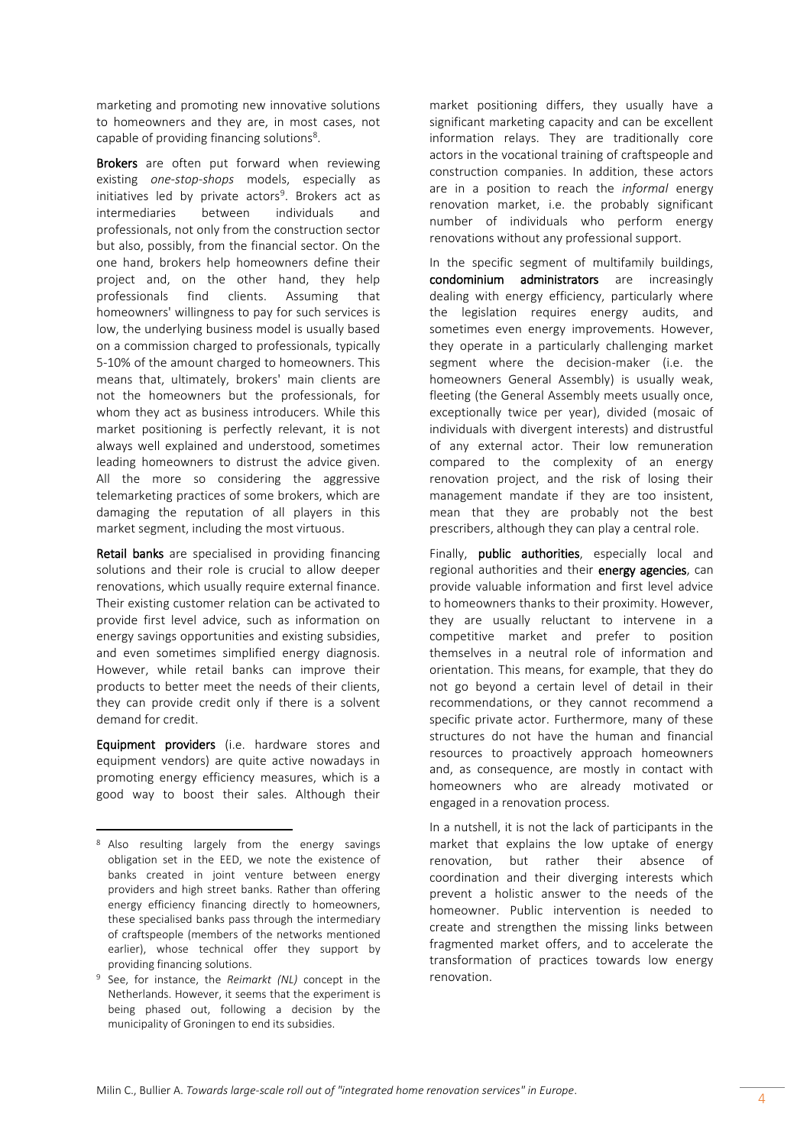marketing and promoting new innovative solutions to homeowners and they are, in most cases, not capable of providing financing solutions<sup>8</sup>.

Brokers are often put forward when reviewing existing *one-stop-shops* models, especially as initiatives led by private actors<sup>9</sup>. Brokers act as intermediaries between individuals and professionals, not only from the construction sector but also, possibly, from the financial sector. On the one hand, brokers help homeowners define their project and, on the other hand, they help professionals find clients. Assuming that homeowners' willingness to pay for such services is low, the underlying business model is usually based on a commission charged to professionals, typically 5-10% of the amount charged to homeowners. This means that, ultimately, brokers' main clients are not the homeowners but the professionals, for whom they act as business introducers. While this market positioning is perfectly relevant, it is not always well explained and understood, sometimes leading homeowners to distrust the advice given. All the more so considering the aggressive telemarketing practices of some brokers, which are damaging the reputation of all players in this market segment, including the most virtuous.

Retail banks are specialised in providing financing solutions and their role is crucial to allow deeper renovations, which usually require external finance. Their existing customer relation can be activated to provide first level advice, such as information on energy savings opportunities and existing subsidies, and even sometimes simplified energy diagnosis. However, while retail banks can improve their products to better meet the needs of their clients, they can provide credit only if there is a solvent demand for credit.

Equipment providers (i.e. hardware stores and equipment vendors) are quite active nowadays in promoting energy efficiency measures, which is a good way to boost their sales. Although their

 $\overline{a}$ 

market positioning differs, they usually have a significant marketing capacity and can be excellent information relays. They are traditionally core actors in the vocational training of craftspeople and construction companies. In addition, these actors are in a position to reach the *informal* energy renovation market, i.e. the probably significant number of individuals who perform energy renovations without any professional support.

In the specific segment of multifamily buildings, condominium administrators are increasingly dealing with energy efficiency, particularly where the legislation requires energy audits, and sometimes even energy improvements. However, they operate in a particularly challenging market segment where the decision-maker (i.e. the homeowners General Assembly) is usually weak, fleeting (the General Assembly meets usually once, exceptionally twice per year), divided (mosaic of individuals with divergent interests) and distrustful of any external actor. Their low remuneration compared to the complexity of an energy renovation project, and the risk of losing their management mandate if they are too insistent, mean that they are probably not the best prescribers, although they can play a central role.

Finally, **public authorities**, especially local and regional authorities and their energy agencies, can provide valuable information and first level advice to homeowners thanks to their proximity. However, they are usually reluctant to intervene in a competitive market and prefer to position themselves in a neutral role of information and orientation. This means, for example, that they do not go beyond a certain level of detail in their recommendations, or they cannot recommend a specific private actor. Furthermore, many of these structures do not have the human and financial resources to proactively approach homeowners and, as consequence, are mostly in contact with homeowners who are already motivated or engaged in a renovation process.

In a nutshell, it is not the lack of participants in the market that explains the low uptake of energy renovation, but rather their absence of coordination and their diverging interests which prevent a holistic answer to the needs of the homeowner. Public intervention is needed to create and strengthen the missing links between fragmented market offers, and to accelerate the transformation of practices towards low energy renovation.

<sup>8</sup> Also resulting largely from the energy savings obligation set in the EED, we note the existence of banks created in joint venture between energy providers and high street banks. Rather than offering energy efficiency financing directly to homeowners, these specialised banks pass through the intermediary of craftspeople (members of the networks mentioned earlier), whose technical offer they support by providing financing solutions.

<sup>9</sup> See, for instance, the *Reimarkt (NL)* concept in the Netherlands. However, it seems that the experiment is being phased out, following a decision by the municipality of Groningen to end its subsidies.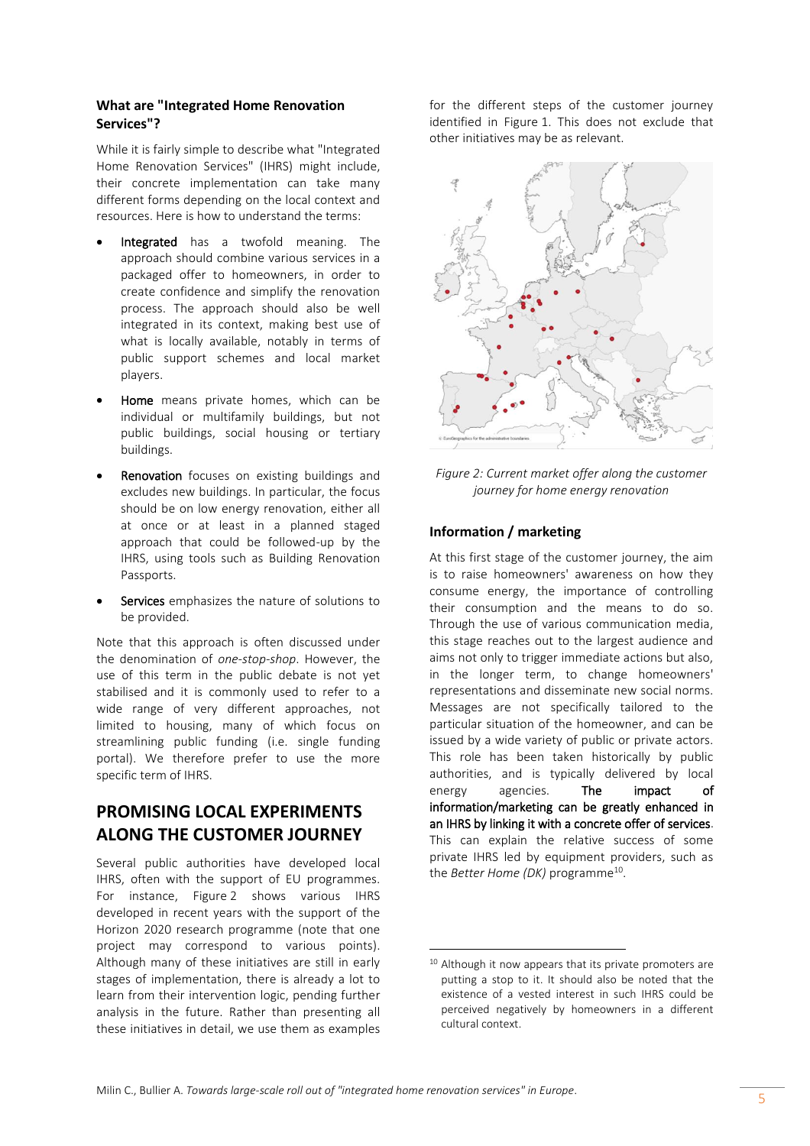## **What are "Integrated Home Renovation Services"?**

While it is fairly simple to describe what "Integrated Home Renovation Services" (IHRS) might include, their concrete implementation can take many different forms depending on the local context and resources. Here is how to understand the terms:

- Integrated has a twofold meaning. The approach should combine various services in a packaged offer to homeowners, in order to create confidence and simplify the renovation process. The approach should also be well integrated in its context, making best use of what is locally available, notably in terms of public support schemes and local market players.
- Home means private homes, which can be individual or multifamily buildings, but not public buildings, social housing or tertiary buildings.
- Renovation focuses on existing buildings and excludes new buildings. In particular, the focus should be on low energy renovation, either all at once or at least in a planned staged approach that could be followed-up by the IHRS, using tools such as Building Renovation Passports.
- Services emphasizes the nature of solutions to be provided.

Note that this approach is often discussed under the denomination of *one-stop-shop*. However, the use of this term in the public debate is not yet stabilised and it is commonly used to refer to a wide range of very different approaches, not limited to housing, many of which focus on streamlining public funding (i.e. single funding portal). We therefore prefer to use the more specific term of IHRS.

# **PROMISING LOCAL EXPERIMENTS ALONG THE CUSTOMER JOURNEY**

Several public authorities have developed local IHRS, often with the support of EU programmes. For instance, Figure 2 shows various IHRS developed in recent years with the support of the Horizon 2020 research programme (note that one project may correspond to various points). Although many of these initiatives are still in early stages of implementation, there is already a lot to learn from their intervention logic, pending further analysis in the future. Rather than presenting all these initiatives in detail, we use them as examples

for the different steps of the customer journey identified in Figure 1. This does not exclude that other initiatives may be as relevant.



*Figure 2: Current market offer along the customer journey for home energy renovation*

# **Information / marketing**

At this first stage of the customer journey, the aim is to raise homeowners' awareness on how they consume energy, the importance of controlling their consumption and the means to do so. Through the use of various communication media, this stage reaches out to the largest audience and aims not only to trigger immediate actions but also, in the longer term, to change homeowners' representations and disseminate new social norms. Messages are not specifically tailored to the particular situation of the homeowner, and can be issued by a wide variety of public or private actors. This role has been taken historically by public authorities, and is typically delivered by local energy agencies. The impact of information/marketing can be greatly enhanced in an IHRS by linking it with a concrete offer of services. This can explain the relative success of some private IHRS led by equipment providers, such as the *Better Home (DK)* programme<sup>10</sup>.

 $\overline{a}$ 

<sup>&</sup>lt;sup>10</sup> Although it now appears that its private promoters are putting a stop to it. It should also be noted that the existence of a vested interest in such IHRS could be perceived negatively by homeowners in a different cultural context.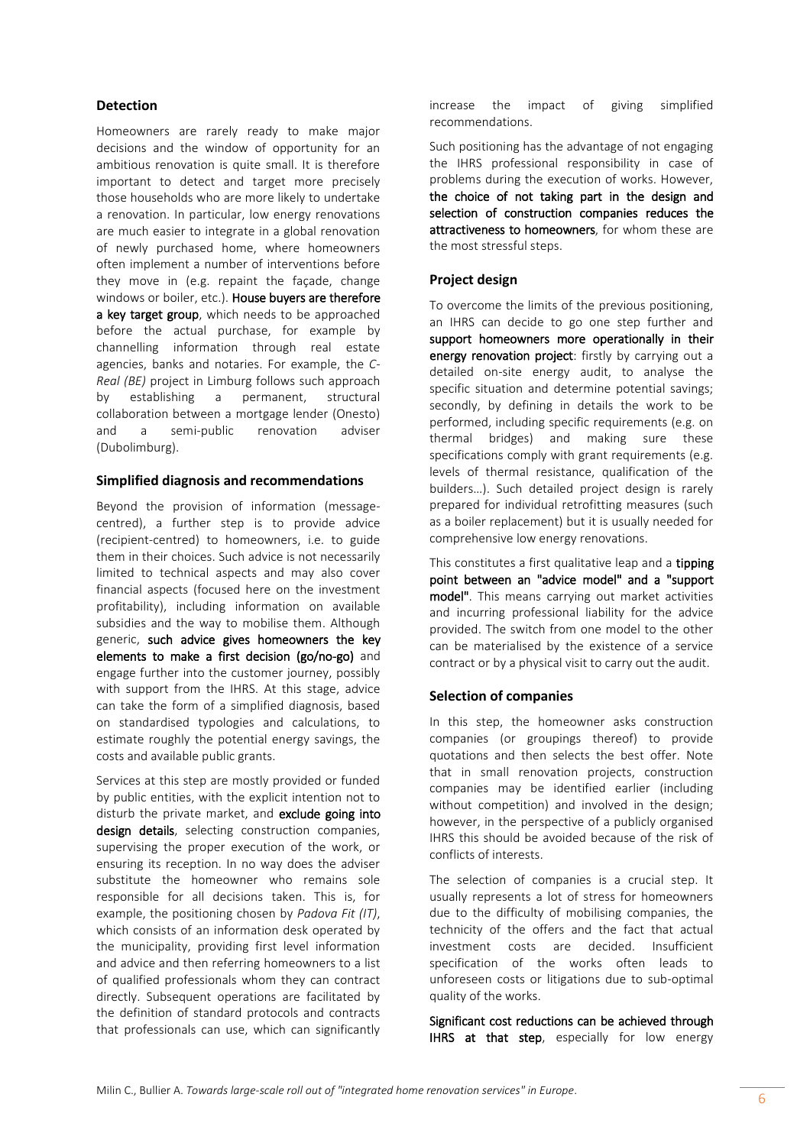# **Detection**

Homeowners are rarely ready to make major decisions and the window of opportunity for an ambitious renovation is quite small. It is therefore important to detect and target more precisely those households who are more likely to undertake a renovation. In particular, low energy renovations are much easier to integrate in a global renovation of newly purchased home, where homeowners often implement a number of interventions before they move in (e.g. repaint the façade, change windows or boiler, etc.). House buyers are therefore a key target group, which needs to be approached before the actual purchase, for example by channelling information through real estate agencies, banks and notaries. For example, the *C-Real (BE)* project in Limburg follows such approach by establishing a permanent, structural collaboration between a mortgage lender (Onesto) and a semi-public renovation adviser (Dubolimburg).

## **Simplified diagnosis and recommendations**

Beyond the provision of information (messagecentred), a further step is to provide advice (recipient-centred) to homeowners, i.e. to guide them in their choices. Such advice is not necessarily limited to technical aspects and may also cover financial aspects (focused here on the investment profitability), including information on available subsidies and the way to mobilise them. Although generic, such advice gives homeowners the key elements to make a first decision (go/no-go) and engage further into the customer journey, possibly with support from the IHRS. At this stage, advice can take the form of a simplified diagnosis, based on standardised typologies and calculations, to estimate roughly the potential energy savings, the costs and available public grants.

Services at this step are mostly provided or funded by public entities, with the explicit intention not to disturb the private market, and exclude going into design details, selecting construction companies, supervising the proper execution of the work, or ensuring its reception. In no way does the adviser substitute the homeowner who remains sole responsible for all decisions taken. This is, for example, the positioning chosen by *Padova Fit (IT)*, which consists of an information desk operated by the municipality, providing first level information and advice and then referring homeowners to a list of qualified professionals whom they can contract directly. Subsequent operations are facilitated by the definition of standard protocols and contracts that professionals can use, which can significantly increase the impact of giving simplified recommendations.

Such positioning has the advantage of not engaging the IHRS professional responsibility in case of problems during the execution of works. However, the choice of not taking part in the design and selection of construction companies reduces the attractiveness to homeowners, for whom these are the most stressful steps.

# **Project design**

To overcome the limits of the previous positioning, an IHRS can decide to go one step further and support homeowners more operationally in their energy renovation project: firstly by carrying out a detailed on-site energy audit, to analyse the specific situation and determine potential savings; secondly, by defining in details the work to be performed, including specific requirements (e.g. on thermal bridges) and making sure these specifications comply with grant requirements (e.g. levels of thermal resistance, qualification of the builders…). Such detailed project design is rarely prepared for individual retrofitting measures (such as a boiler replacement) but it is usually needed for comprehensive low energy renovations.

This constitutes a first qualitative leap and a tipping point between an "advice model" and a "support model". This means carrying out market activities and incurring professional liability for the advice provided. The switch from one model to the other can be materialised by the existence of a service contract or by a physical visit to carry out the audit.

# **Selection of companies**

In this step, the homeowner asks construction companies (or groupings thereof) to provide quotations and then selects the best offer. Note that in small renovation projects, construction companies may be identified earlier (including without competition) and involved in the design; however, in the perspective of a publicly organised IHRS this should be avoided because of the risk of conflicts of interests.

The selection of companies is a crucial step. It usually represents a lot of stress for homeowners due to the difficulty of mobilising companies, the technicity of the offers and the fact that actual investment costs are decided. Insufficient specification of the works often leads to unforeseen costs or litigations due to sub-optimal quality of the works.

Significant cost reductions can be achieved through IHRS at that step, especially for low energy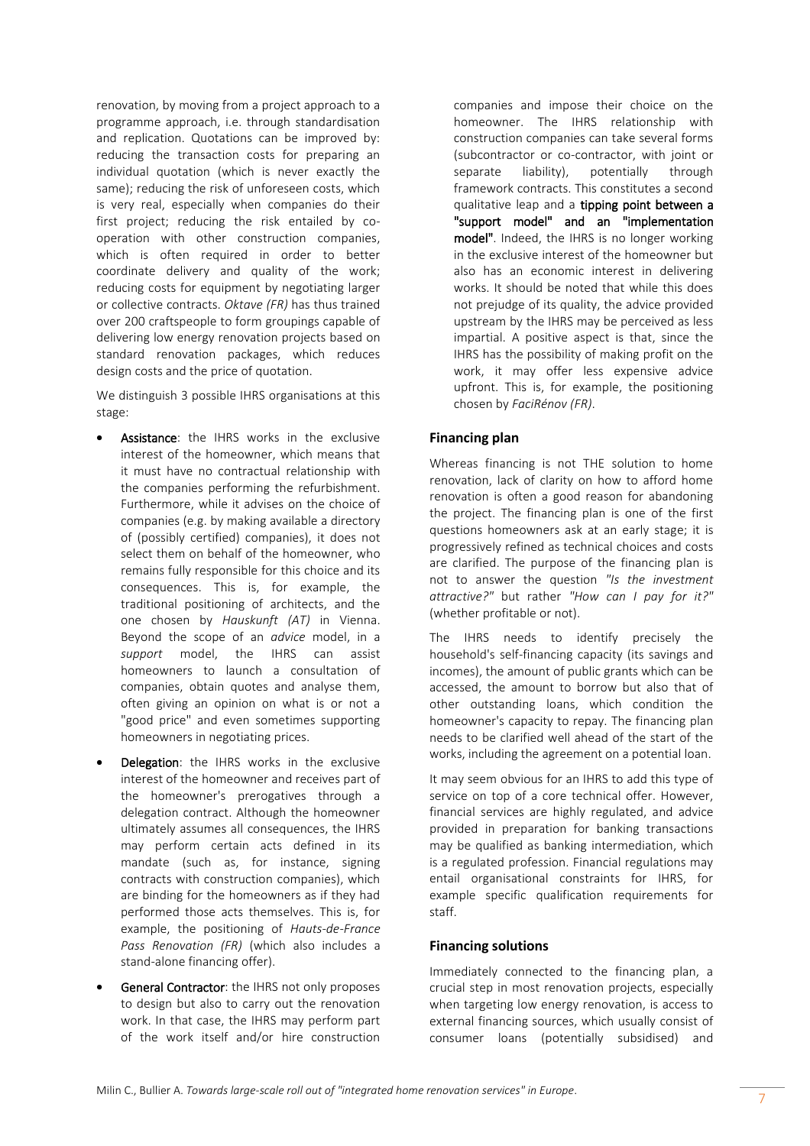renovation, by moving from a project approach to a programme approach, i.e. through standardisation and replication. Quotations can be improved by: reducing the transaction costs for preparing an individual quotation (which is never exactly the same); reducing the risk of unforeseen costs, which is very real, especially when companies do their first project; reducing the risk entailed by cooperation with other construction companies, which is often required in order to better coordinate delivery and quality of the work; reducing costs for equipment by negotiating larger or collective contracts. *Oktave (FR)* has thus trained over 200 craftspeople to form groupings capable of delivering low energy renovation projects based on standard renovation packages, which reduces design costs and the price of quotation.

We distinguish 3 possible IHRS organisations at this stage:

- Assistance: the IHRS works in the exclusive interest of the homeowner, which means that it must have no contractual relationship with the companies performing the refurbishment. Furthermore, while it advises on the choice of companies (e.g. by making available a directory of (possibly certified) companies), it does not select them on behalf of the homeowner, who remains fully responsible for this choice and its consequences. This is, for example, the traditional positioning of architects, and the one chosen by *Hauskunft (AT)* in Vienna. Beyond the scope of an *advice* model, in a *support* model, the IHRS can assist homeowners to launch a consultation of companies, obtain quotes and analyse them, often giving an opinion on what is or not a "good price" and even sometimes supporting homeowners in negotiating prices.
- Delegation: the IHRS works in the exclusive interest of the homeowner and receives part of the homeowner's prerogatives through a delegation contract. Although the homeowner ultimately assumes all consequences, the IHRS may perform certain acts defined in its mandate (such as, for instance, signing contracts with construction companies), which are binding for the homeowners as if they had performed those acts themselves. This is, for example, the positioning of *Hauts-de-France Pass Renovation (FR)* (which also includes a stand-alone financing offer).
- General Contractor: the IHRS not only proposes to design but also to carry out the renovation work. In that case, the IHRS may perform part of the work itself and/or hire construction

companies and impose their choice on the homeowner. The IHRS relationship with construction companies can take several forms (subcontractor or co-contractor, with joint or separate liability), potentially through framework contracts. This constitutes a second qualitative leap and a tipping point between a "support model" and an "implementation model". Indeed, the IHRS is no longer working in the exclusive interest of the homeowner but also has an economic interest in delivering works. It should be noted that while this does not prejudge of its quality, the advice provided upstream by the IHRS may be perceived as less impartial. A positive aspect is that, since the IHRS has the possibility of making profit on the work, it may offer less expensive advice upfront. This is, for example, the positioning chosen by *FaciRénov (FR)*.

# **Financing plan**

Whereas financing is not THE solution to home renovation, lack of clarity on how to afford home renovation is often a good reason for abandoning the project. The financing plan is one of the first questions homeowners ask at an early stage; it is progressively refined as technical choices and costs are clarified. The purpose of the financing plan is not to answer the question *"Is the investment attractive?"* but rather *"How can I pay for it?"* (whether profitable or not).

The IHRS needs to identify precisely the household's self-financing capacity (its savings and incomes), the amount of public grants which can be accessed, the amount to borrow but also that of other outstanding loans, which condition the homeowner's capacity to repay. The financing plan needs to be clarified well ahead of the start of the works, including the agreement on a potential loan.

It may seem obvious for an IHRS to add this type of service on top of a core technical offer. However, financial services are highly regulated, and advice provided in preparation for banking transactions may be qualified as banking intermediation, which is a regulated profession. Financial regulations may entail organisational constraints for IHRS, for example specific qualification requirements for staff.

# **Financing solutions**

Immediately connected to the financing plan, a crucial step in most renovation projects, especially when targeting low energy renovation, is access to external financing sources, which usually consist of consumer loans (potentially subsidised) and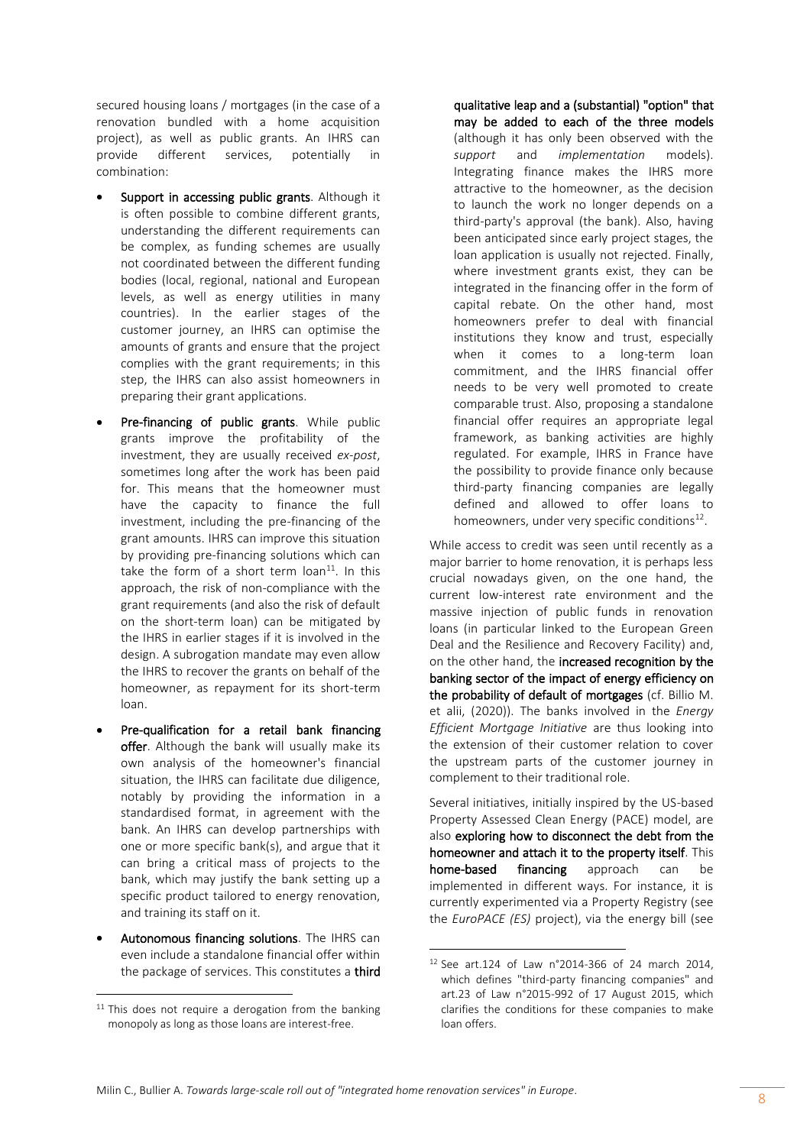secured housing loans / mortgages (in the case of a renovation bundled with a home acquisition project), as well as public grants. An IHRS can provide different services, potentially in combination:

- Support in accessing public grants. Although it is often possible to combine different grants, understanding the different requirements can be complex, as funding schemes are usually not coordinated between the different funding bodies (local, regional, national and European levels, as well as energy utilities in many countries). In the earlier stages of the customer journey, an IHRS can optimise the amounts of grants and ensure that the project complies with the grant requirements; in this step, the IHRS can also assist homeowners in preparing their grant applications.
- Pre-financing of public grants. While public grants improve the profitability of the investment, they are usually received *ex-post*, sometimes long after the work has been paid for. This means that the homeowner must have the capacity to finance the full investment, including the pre-financing of the grant amounts. IHRS can improve this situation by providing pre-financing solutions which can take the form of a short term  $\alpha$  loan<sup>11</sup>. In this approach, the risk of non-compliance with the grant requirements (and also the risk of default on the short-term loan) can be mitigated by the IHRS in earlier stages if it is involved in the design. A subrogation mandate may even allow the IHRS to recover the grants on behalf of the homeowner, as repayment for its short-term loan.
- Pre-qualification for a retail bank financing offer. Although the bank will usually make its own analysis of the homeowner's financial situation, the IHRS can facilitate due diligence, notably by providing the information in a standardised format, in agreement with the bank. An IHRS can develop partnerships with one or more specific bank(s), and argue that it can bring a critical mass of projects to the bank, which may justify the bank setting up a specific product tailored to energy renovation, and training its staff on it.
- Autonomous financing solutions. The IHRS can even include a standalone financial offer within the package of services. This constitutes a third

 $\overline{a}$ 

qualitative leap and a (substantial) "option" that may be added to each of the three models (although it has only been observed with the *support* and *implementation* models). Integrating finance makes the IHRS more attractive to the homeowner, as the decision to launch the work no longer depends on a third-party's approval (the bank). Also, having been anticipated since early project stages, the loan application is usually not rejected. Finally, where investment grants exist, they can be integrated in the financing offer in the form of capital rebate. On the other hand, most homeowners prefer to deal with financial institutions they know and trust, especially when it comes to a long-term loan commitment, and the IHRS financial offer needs to be very well promoted to create comparable trust. Also, proposing a standalone financial offer requires an appropriate legal framework, as banking activities are highly regulated. For example, IHRS in France have the possibility to provide finance only because third-party financing companies are legally defined and allowed to offer loans to homeowners, under very specific conditions $^{12}$ .

While access to credit was seen until recently as a major barrier to home renovation, it is perhaps less crucial nowadays given, on the one hand, the current low-interest rate environment and the massive injection of public funds in renovation loans (in particular linked to the European Green Deal and the Resilience and Recovery Facility) and, on the other hand, the increased recognition by the banking sector of the impact of energy efficiency on the probability of default of mortgages (cf. Billio M. et alii, (2020)). The banks involved in the *Energy Efficient Mortgage Initiative* are thus looking into the extension of their customer relation to cover the upstream parts of the customer journey in complement to their traditional role.

Several initiatives, initially inspired by the US-based Property Assessed Clean Energy (PACE) model, are also exploring how to disconnect the debt from the homeowner and attach it to the property itself. This home-based financing approach can be implemented in different ways. For instance, it is currently experimented via a Property Registry (see the *EuroPACE (ES)* project), via the energy bill (see

 $\overline{a}$ 

 $11$  This does not require a derogation from the banking monopoly as long as those loans are interest-free.

<sup>12</sup> See art.124 of Law n°2014-366 of 24 march 2014, which defines "third-party financing companies" and art.23 of Law n°2015-992 of 17 August 2015, which clarifies the conditions for these companies to make loan offers.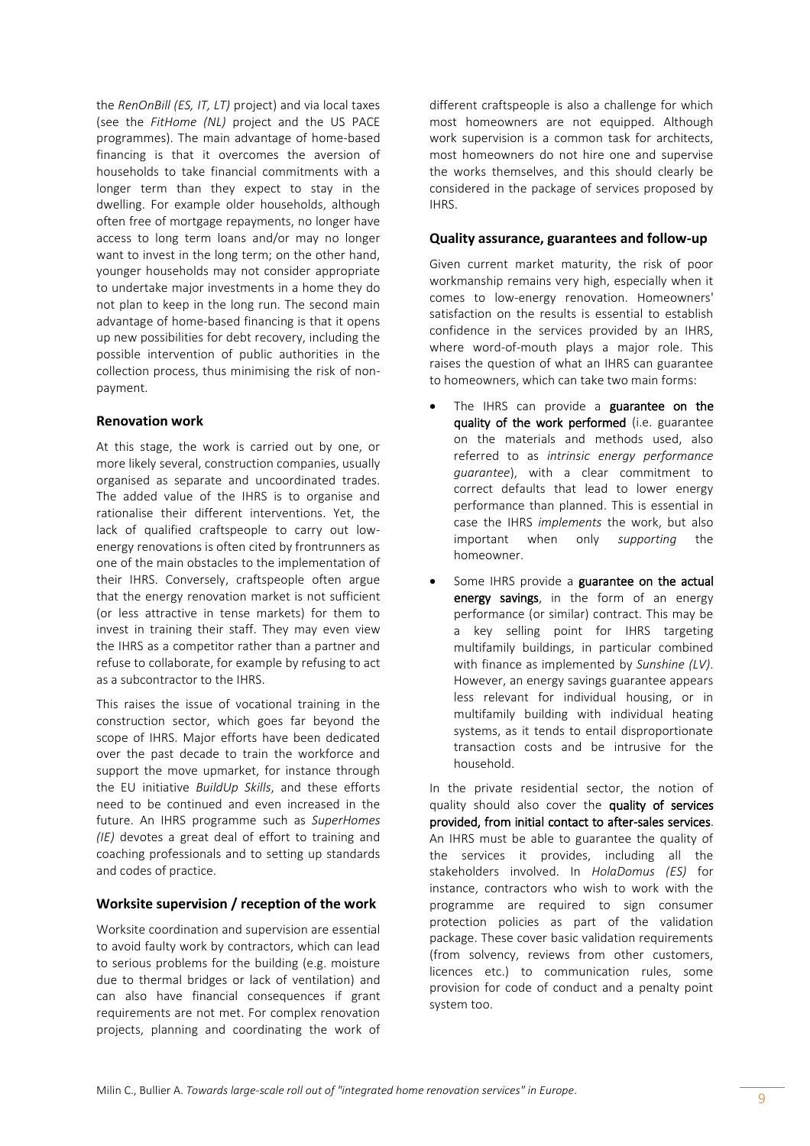the *RenOnBill (ES, IT, LT)* project) and via local taxes (see the *FitHome (NL)* project and the US PACE programmes). The main advantage of home-based financing is that it overcomes the aversion of households to take financial commitments with a longer term than they expect to stay in the dwelling. For example older households, although often free of mortgage repayments, no longer have access to long term loans and/or may no longer want to invest in the long term; on the other hand, younger households may not consider appropriate to undertake major investments in a home they do not plan to keep in the long run. The second main advantage of home-based financing is that it opens up new possibilities for debt recovery, including the possible intervention of public authorities in the collection process, thus minimising the risk of nonpayment.

#### **Renovation work**

At this stage, the work is carried out by one, or more likely several, construction companies, usually organised as separate and uncoordinated trades. The added value of the IHRS is to organise and rationalise their different interventions. Yet, the lack of qualified craftspeople to carry out lowenergy renovations is often cited by frontrunners as one of the main obstacles to the implementation of their IHRS. Conversely, craftspeople often argue that the energy renovation market is not sufficient (or less attractive in tense markets) for them to invest in training their staff. They may even view the IHRS as a competitor rather than a partner and refuse to collaborate, for example by refusing to act as a subcontractor to the IHRS.

This raises the issue of vocational training in the construction sector, which goes far beyond the scope of IHRS. Major efforts have been dedicated over the past decade to train the workforce and support the move upmarket, for instance through the EU initiative *BuildUp Skills*, and these efforts need to be continued and even increased in the future. An IHRS programme such as *SuperHomes (IE)* devotes a great deal of effort to training and coaching professionals and to setting up standards and codes of practice.

# **Worksite supervision / reception of the work**

Worksite coordination and supervision are essential to avoid faulty work by contractors, which can lead to serious problems for the building (e.g. moisture due to thermal bridges or lack of ventilation) and can also have financial consequences if grant requirements are not met. For complex renovation projects, planning and coordinating the work of different craftspeople is also a challenge for which most homeowners are not equipped. Although work supervision is a common task for architects, most homeowners do not hire one and supervise the works themselves, and this should clearly be considered in the package of services proposed by IHRS.

## **Quality assurance, guarantees and follow-up**

Given current market maturity, the risk of poor workmanship remains very high, especially when it comes to low-energy renovation. Homeowners' satisfaction on the results is essential to establish confidence in the services provided by an IHRS, where word-of-mouth plays a major role. This raises the question of what an IHRS can guarantee to homeowners, which can take two main forms:

- The IHRS can provide a guarantee on the quality of the work performed (i.e. guarantee on the materials and methods used, also referred to as *intrinsic energy performance guarantee*), with a clear commitment to correct defaults that lead to lower energy performance than planned. This is essential in case the IHRS *implements* the work, but also important when only *supporting* the homeowner.
- Some IHRS provide a guarantee on the actual energy savings, in the form of an energy performance (or similar) contract. This may be a key selling point for IHRS targeting multifamily buildings, in particular combined with finance as implemented by *Sunshine (LV)*. However, an energy savings guarantee appears less relevant for individual housing, or in multifamily building with individual heating systems, as it tends to entail disproportionate transaction costs and be intrusive for the household.

In the private residential sector, the notion of quality should also cover the quality of services provided, from initial contact to after-sales services. An IHRS must be able to guarantee the quality of the services it provides, including all the stakeholders involved. In *HolaDomus (ES)* for instance, contractors who wish to work with the programme are required to sign consumer protection policies as part of the validation package. These cover basic validation requirements (from solvency, reviews from other customers, licences etc.) to communication rules, some provision for code of conduct and a penalty point system too.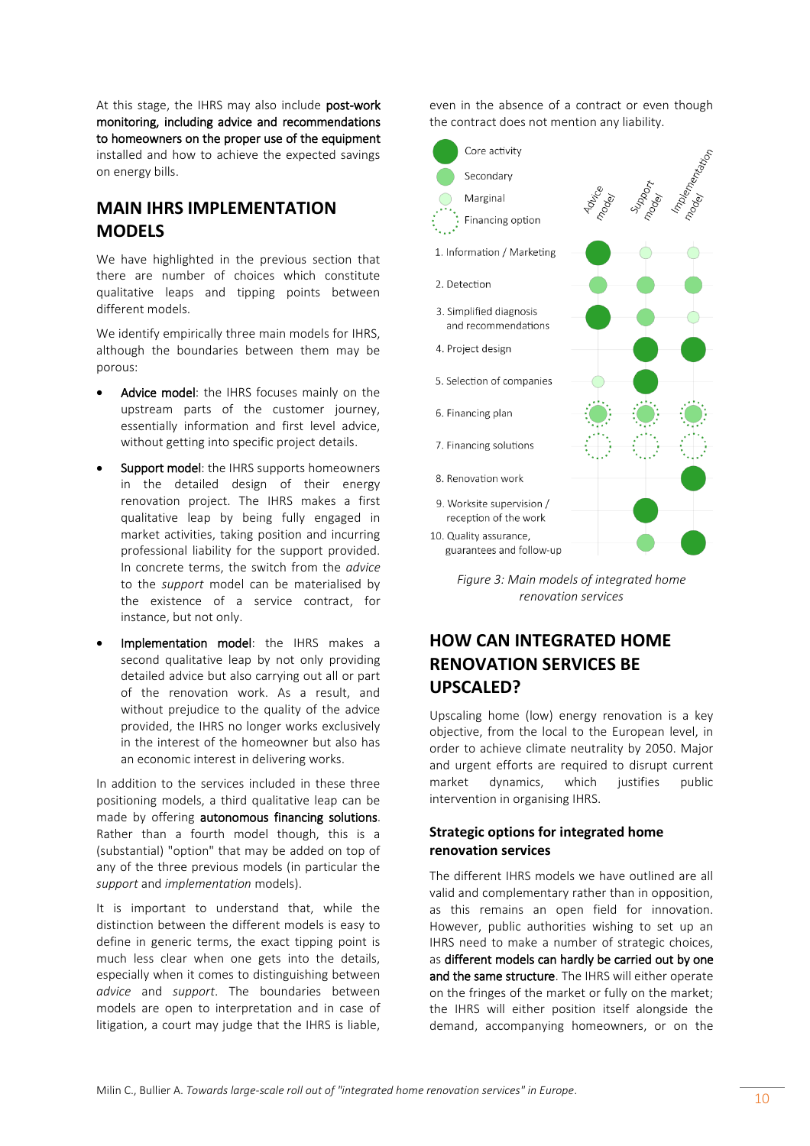At this stage, the IHRS may also include post-work monitoring, including advice and recommendations to homeowners on the proper use of the equipment installed and how to achieve the expected savings on energy bills.

# **MAIN IHRS IMPLEMENTATION MODELS**

We have highlighted in the previous section that there are number of choices which constitute qualitative leaps and tipping points between different models.

We identify empirically three main models for IHRS, although the boundaries between them may be porous:

- Advice model: the IHRS focuses mainly on the upstream parts of the customer journey, essentially information and first level advice, without getting into specific project details.
- Support model: the IHRS supports homeowners in the detailed design of their energy renovation project. The IHRS makes a first qualitative leap by being fully engaged in market activities, taking position and incurring professional liability for the support provided. In concrete terms, the switch from the *advice* to the *support* model can be materialised by the existence of a service contract, for instance, but not only.
- Implementation model: the IHRS makes a second qualitative leap by not only providing detailed advice but also carrying out all or part of the renovation work. As a result, and without prejudice to the quality of the advice provided, the IHRS no longer works exclusively in the interest of the homeowner but also has an economic interest in delivering works.

In addition to the services included in these three positioning models, a third qualitative leap can be made by offering autonomous financing solutions. Rather than a fourth model though, this is a (substantial) "option" that may be added on top of any of the three previous models (in particular the *support* and *implementation* models).

It is important to understand that, while the distinction between the different models is easy to define in generic terms, the exact tipping point is much less clear when one gets into the details, especially when it comes to distinguishing between *advice* and *support*. The boundaries between models are open to interpretation and in case of litigation, a court may judge that the IHRS is liable, even in the absence of a contract or even though the contract does not mention any liability.



*Figure 3: Main models of integrated home renovation services*

# **HOW CAN INTEGRATED HOME RENOVATION SERVICES BE UPSCALED?**

Upscaling home (low) energy renovation is a key objective, from the local to the European level, in order to achieve climate neutrality by 2050. Major and urgent efforts are required to disrupt current market dynamics, which justifies public intervention in organising IHRS.

# **Strategic options for integrated home renovation services**

The different IHRS models we have outlined are all valid and complementary rather than in opposition, as this remains an open field for innovation. However, public authorities wishing to set up an IHRS need to make a number of strategic choices, as different models can hardly be carried out by one and the same structure. The IHRS will either operate on the fringes of the market or fully on the market; the IHRS will either position itself alongside the demand, accompanying homeowners, or on the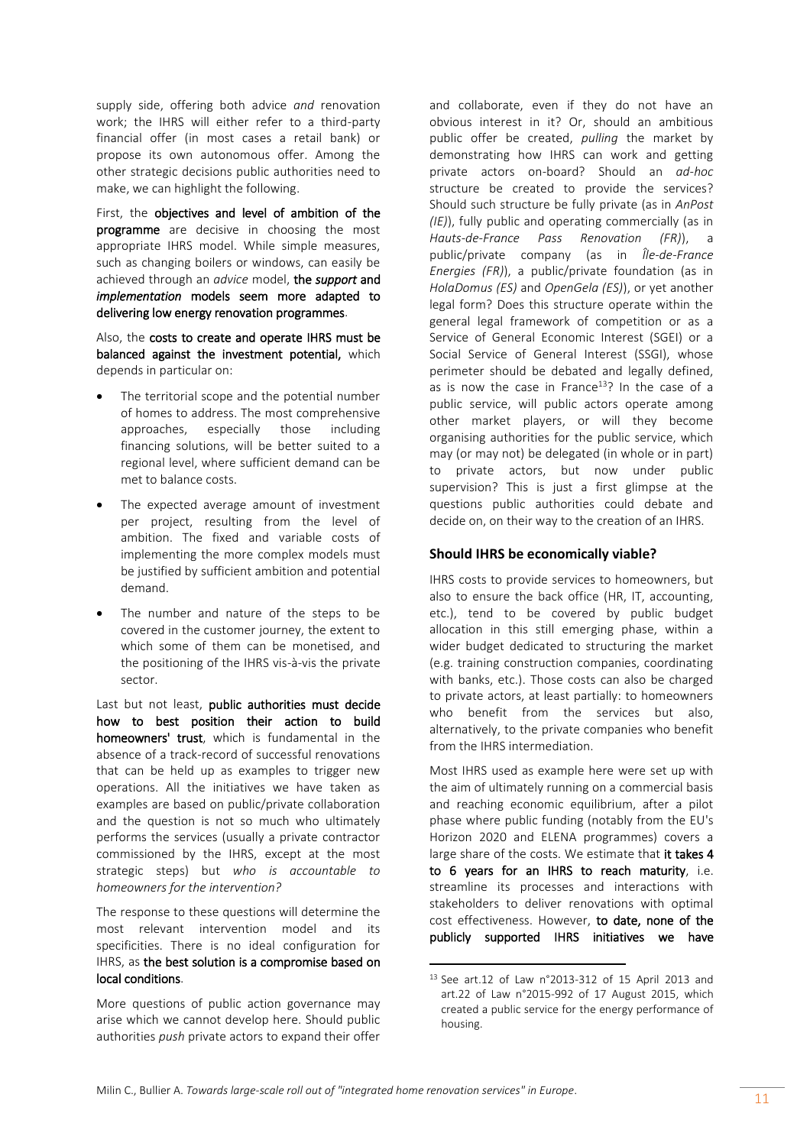supply side, offering both advice *and* renovation work; the IHRS will either refer to a third-party financial offer (in most cases a retail bank) or propose its own autonomous offer. Among the other strategic decisions public authorities need to make, we can highlight the following.

First, the objectives and level of ambition of the programme are decisive in choosing the most appropriate IHRS model. While simple measures, such as changing boilers or windows, can easily be achieved through an *advice* model, the *support* and *implementation* models seem more adapted to delivering low energy renovation programmes.

Also, the costs to create and operate IHRS must be balanced against the investment potential, which depends in particular on:

- The territorial scope and the potential number of homes to address. The most comprehensive approaches, especially those including financing solutions, will be better suited to a regional level, where sufficient demand can be met to balance costs.
- The expected average amount of investment per project, resulting from the level of ambition. The fixed and variable costs of implementing the more complex models must be justified by sufficient ambition and potential demand.
- The number and nature of the steps to be covered in the customer journey, the extent to which some of them can be monetised, and the positioning of the IHRS vis-à-vis the private sector.

Last but not least, public authorities must decide how to best position their action to build homeowners' trust, which is fundamental in the absence of a track-record of successful renovations that can be held up as examples to trigger new operations. All the initiatives we have taken as examples are based on public/private collaboration and the question is not so much who ultimately performs the services (usually a private contractor commissioned by the IHRS, except at the most strategic steps) but *who is accountable to homeowners for the intervention?*

The response to these questions will determine the most relevant intervention model and its specificities. There is no ideal configuration for IHRS, as the best solution is a compromise based on local conditions.

More questions of public action governance may arise which we cannot develop here. Should public authorities *push* private actors to expand their offer and collaborate, even if they do not have an obvious interest in it? Or, should an ambitious public offer be created, *pulling* the market by demonstrating how IHRS can work and getting private actors on-board? Should an *ad-hoc* structure be created to provide the services? Should such structure be fully private (as in *AnPost (IE)*), fully public and operating commercially (as in *Hauts-de-France Pass Renovation (FR)*), a public/private company (as in *Île-de-France Energies (FR)*), a public/private foundation (as in *HolaDomus (ES)* and *OpenGela (ES)*), or yet another legal form? Does this structure operate within the general legal framework of competition or as a Service of General Economic Interest (SGEI) or a Social Service of General Interest (SSGI), whose perimeter should be debated and legally defined, as is now the case in France $13$ ? In the case of a public service, will public actors operate among other market players, or will they become organising authorities for the public service, which may (or may not) be delegated (in whole or in part) to private actors, but now under public supervision? This is just a first glimpse at the questions public authorities could debate and decide on, on their way to the creation of an IHRS.

## **Should IHRS be economically viable?**

IHRS costs to provide services to homeowners, but also to ensure the back office (HR, IT, accounting, etc.), tend to be covered by public budget allocation in this still emerging phase, within a wider budget dedicated to structuring the market (e.g. training construction companies, coordinating with banks, etc.). Those costs can also be charged to private actors, at least partially: to homeowners who benefit from the services but also, alternatively, to the private companies who benefit from the IHRS intermediation.

Most IHRS used as example here were set up with the aim of ultimately running on a commercial basis and reaching economic equilibrium, after a pilot phase where public funding (notably from the EU's Horizon 2020 and ELENA programmes) covers a large share of the costs. We estimate that it takes 4 to 6 years for an IHRS to reach maturity, i.e. streamline its processes and interactions with stakeholders to deliver renovations with optimal cost effectiveness. However, to date, none of the publicly supported IHRS initiatives we have

 $\overline{a}$ 

<sup>13</sup> See art.12 of Law n°2013-312 of 15 April 2013 and art.22 of Law n°2015-992 of 17 August 2015, which created a public service for the energy performance of housing.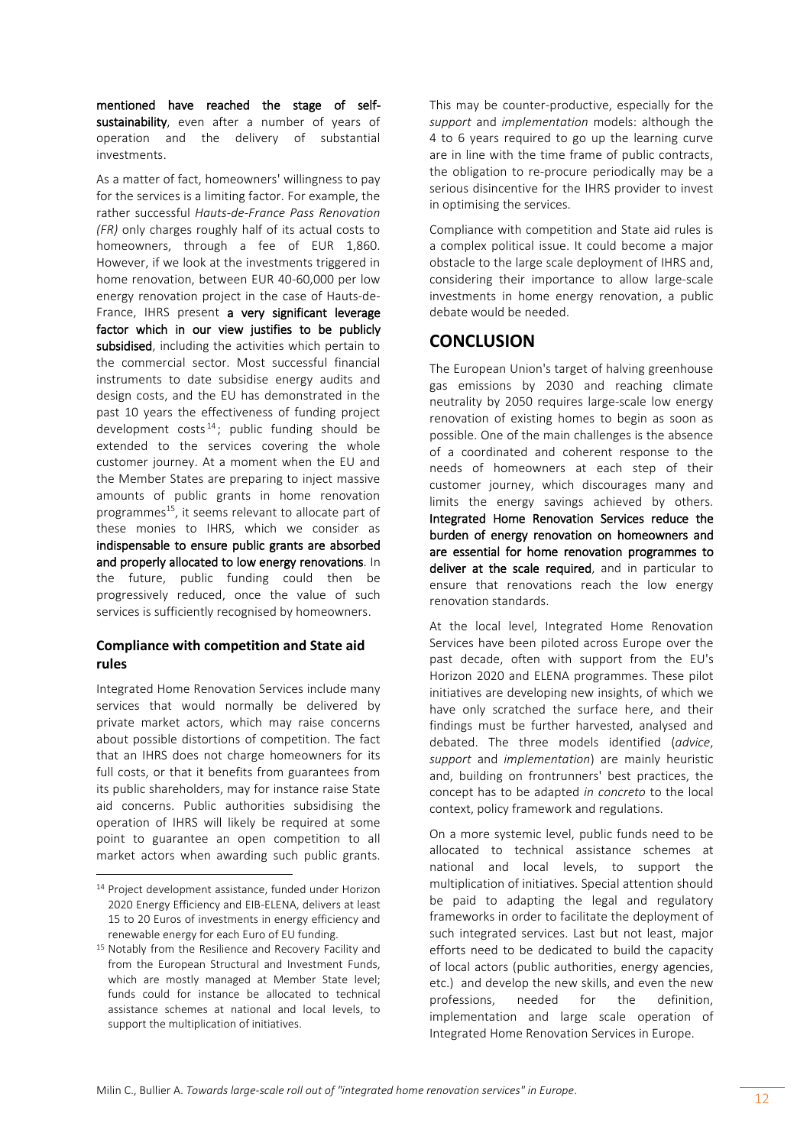mentioned have reached the stage of selfsustainability, even after a number of years of operation and the delivery of substantial investments.

As a matter of fact, homeowners' willingness to pay for the services is a limiting factor. For example, the rather successful *Hauts-de-France Pass Renovation (FR)* only charges roughly half of its actual costs to homeowners, through a fee of EUR 1,860. However, if we look at the investments triggered in home renovation, between EUR 40-60,000 per low energy renovation project in the case of Hauts-de-France, IHRS present a very significant leverage factor which in our view justifies to be publicly subsidised, including the activities which pertain to the commercial sector. Most successful financial instruments to date subsidise energy audits and design costs, and the EU has demonstrated in the past 10 years the effectiveness of funding project development  $costs<sup>14</sup>$ ; public funding should be extended to the services covering the whole customer journey. At a moment when the EU and the Member States are preparing to inject massive amounts of public grants in home renovation programmes<sup>15</sup>, it seems relevant to allocate part of these monies to IHRS, which we consider as indispensable to ensure public grants are absorbed and properly allocated to low energy renovations. In the future, public funding could then be progressively reduced, once the value of such services is sufficiently recognised by homeowners.

## **Compliance with competition and State aid rules**

Integrated Home Renovation Services include many services that would normally be delivered by private market actors, which may raise concerns about possible distortions of competition. The fact that an IHRS does not charge homeowners for its full costs, or that it benefits from guarantees from its public shareholders, may for instance raise State aid concerns. Public authorities subsidising the operation of IHRS will likely be required at some point to guarantee an open competition to all market actors when awarding such public grants.

 $\overline{a}$ 

This may be counter-productive, especially for the *support* and *implementation* models: although the 4 to 6 years required to go up the learning curve are in line with the time frame of public contracts, the obligation to re-procure periodically may be a serious disincentive for the IHRS provider to invest in optimising the services.

Compliance with competition and State aid rules is a complex political issue. It could become a major obstacle to the large scale deployment of IHRS and, considering their importance to allow large-scale investments in home energy renovation, a public debate would be needed.

# **CONCLUSION**

The European Union's target of halving greenhouse gas emissions by 2030 and reaching climate neutrality by 2050 requires large-scale low energy renovation of existing homes to begin as soon as possible. One of the main challenges is the absence of a coordinated and coherent response to the needs of homeowners at each step of their customer journey, which discourages many and limits the energy savings achieved by others. Integrated Home Renovation Services reduce the burden of energy renovation on homeowners and are essential for home renovation programmes to deliver at the scale required, and in particular to ensure that renovations reach the low energy renovation standards.

At the local level, Integrated Home Renovation Services have been piloted across Europe over the past decade, often with support from the EU's Horizon 2020 and ELENA programmes. These pilot initiatives are developing new insights, of which we have only scratched the surface here, and their findings must be further harvested, analysed and debated. The three models identified (*advice*, *support* and *implementation*) are mainly heuristic and, building on frontrunners' best practices, the concept has to be adapted *in concreto* to the local context, policy framework and regulations.

On a more systemic level, public funds need to be allocated to technical assistance schemes at national and local levels, to support the multiplication of initiatives. Special attention should be paid to adapting the legal and regulatory frameworks in order to facilitate the deployment of such integrated services. Last but not least, major efforts need to be dedicated to build the capacity of local actors (public authorities, energy agencies, etc.) and develop the new skills, and even the new professions, needed for the definition, implementation and large scale operation of Integrated Home Renovation Services in Europe.

<sup>14</sup> Project development assistance, funded under Horizon 2020 Energy Efficiency and EIB-ELENA, delivers at least 15 to 20 Euros of investments in energy efficiency and renewable energy for each Euro of EU funding.

<sup>&</sup>lt;sup>15</sup> Notably from the Resilience and Recovery Facility and from the European Structural and Investment Funds, which are mostly managed at Member State level; funds could for instance be allocated to technical assistance schemes at national and local levels, to support the multiplication of initiatives.